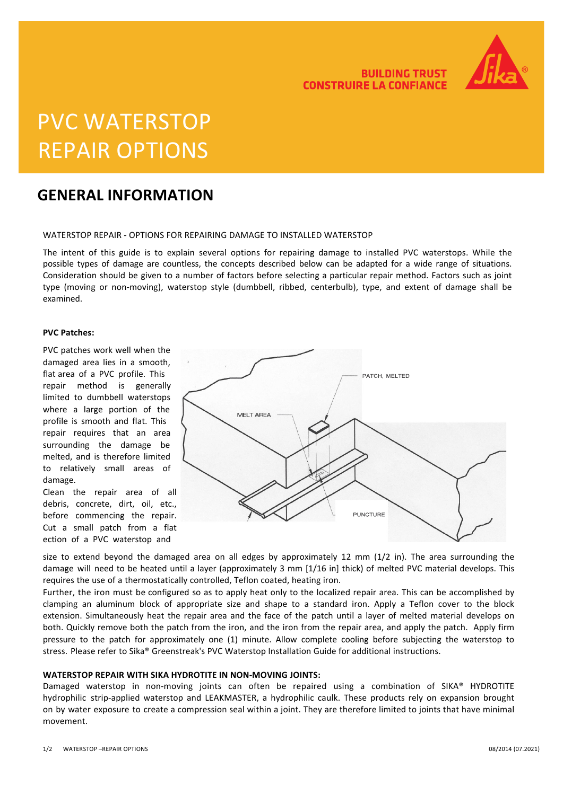

**BUILDING TRUST** 

**CONSTRUIRE LA CONFIANCE** 

# PVC WATERSTOP REPAIR OPTIONS

### **GENERAL INFORMATION**

#### WATERSTOP REPAIR - OPTIONS FOR REPAIRING DAMAGE TO INSTALLED WATERSTOP

The intent of this guide is to explain several options for repairing damage to installed PVC waterstops. While the possible types of damage are countless, the concepts described below can be adapted for a wide range of situations. Consideration should be given to a number of factors before selecting a particular repair method. Factors such as joint type (moving or non-moving), waterstop style (dumbbell, ribbed, centerbulb), type, and extent of damage shall be examined.

#### **PVC Patches:**

PVC patches work well when the damaged area lies in a smooth, flat area of a PVC profile. This repair method is generally limited to dumbbell waterstops where a large portion of the profile is smooth and flat. This repair requires that an area surrounding the damage be melted, and is therefore limited to relatively small areas of damage.

Clean the repair area of all debris, concrete, dirt, oil, etc., before commencing the repair. Cut a small patch from a flat ection of a PVC waterstop and



size to extend beyond the damaged area on all edges by approximately 12 mm (1/2 in). The area surrounding the damage will need to be heated until a layer (approximately 3 mm [1/16 in] thick) of melted PVC material develops. This requires the use of a thermostatically controlled, Teflon coated, heating iron.

Further, the iron must be configured so as to apply heat only to the localized repair area. This can be accomplished by clamping an aluminum block of appropriate size and shape to a standard iron. Apply a Teflon cover to the block extension. Simultaneously heat the repair area and the face of the patch until a layer of melted material develops on both. Quickly remove both the patch from the iron, and the iron from the repair area, and apply the patch. Apply firm pressure to the patch for approximately one (1) minute. Allow complete cooling before subjecting the waterstop to stress. Please refer to Sika® Greenstreak's PVC Waterstop Installation Guide for additional instructions.

#### **WATERSTOP REPAIR WITH SIKA HYDROTITE IN NON-MOVING JOINTS:**

Damaged waterstop in non-moving joints can often be repaired using a combination of SIKA® HYDROTITE hydrophilic strip-applied waterstop and LEAKMASTER, a hydrophilic caulk. These products rely on expansion brought on by water exposure to create a compression seal within a joint. They are therefore limited to joints that have minimal movement.